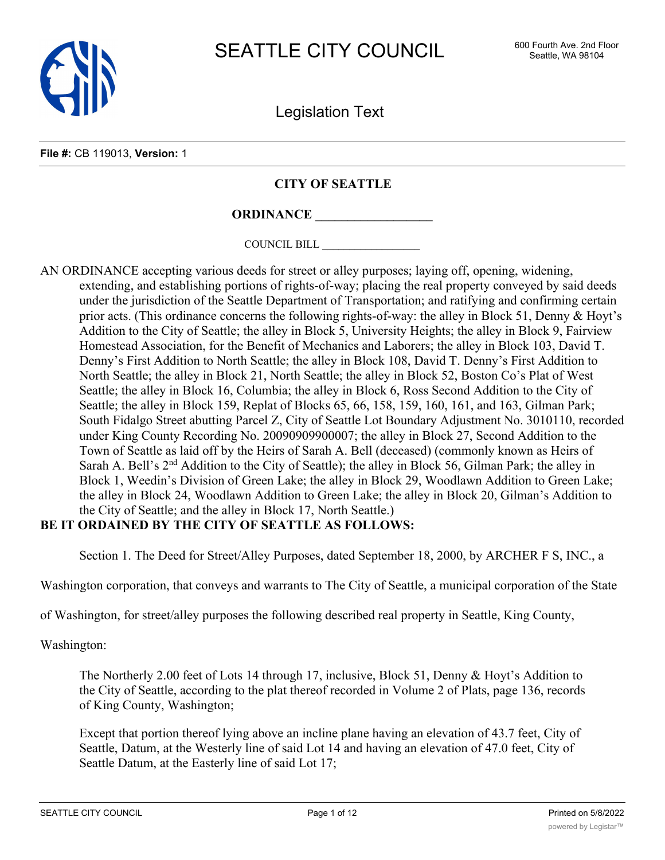

Legislation Text

#### **File #:** CB 119013, **Version:** 1

### **CITY OF SEATTLE**

# **ORDINANCE \_\_\_\_\_\_\_\_\_\_\_\_\_\_\_\_\_\_**

COUNCIL BILL \_\_\_\_\_\_\_\_\_\_\_\_\_\_\_\_\_\_

AN ORDINANCE accepting various deeds for street or alley purposes; laying off, opening, widening, extending, and establishing portions of rights-of-way; placing the real property conveyed by said deeds under the jurisdiction of the Seattle Department of Transportation; and ratifying and confirming certain prior acts. (This ordinance concerns the following rights-of-way: the alley in Block 51, Denny & Hoyt's Addition to the City of Seattle; the alley in Block 5, University Heights; the alley in Block 9, Fairview Homestead Association, for the Benefit of Mechanics and Laborers; the alley in Block 103, David T. Denny's First Addition to North Seattle; the alley in Block 108, David T. Denny's First Addition to North Seattle; the alley in Block 21, North Seattle; the alley in Block 52, Boston Co's Plat of West Seattle; the alley in Block 16, Columbia; the alley in Block 6, Ross Second Addition to the City of Seattle; the alley in Block 159, Replat of Blocks 65, 66, 158, 159, 160, 161, and 163, Gilman Park; South Fidalgo Street abutting Parcel Z, City of Seattle Lot Boundary Adjustment No. 3010110, recorded under King County Recording No. 20090909900007; the alley in Block 27, Second Addition to the Town of Seattle as laid off by the Heirs of Sarah A. Bell (deceased) (commonly known as Heirs of Sarah A. Bell's 2<sup>nd</sup> Addition to the City of Seattle); the alley in Block 56, Gilman Park; the alley in Block 1, Weedin's Division of Green Lake; the alley in Block 29, Woodlawn Addition to Green Lake; the alley in Block 24, Woodlawn Addition to Green Lake; the alley in Block 20, Gilman's Addition to the City of Seattle; and the alley in Block 17, North Seattle.)

## **BE IT ORDAINED BY THE CITY OF SEATTLE AS FOLLOWS:**

Section 1. The Deed for Street/Alley Purposes, dated September 18, 2000, by ARCHER F S, INC., a

Washington corporation, that conveys and warrants to The City of Seattle, a municipal corporation of the State

of Washington, for street/alley purposes the following described real property in Seattle, King County,

Washington:

The Northerly 2.00 feet of Lots 14 through 17, inclusive, Block 51, Denny & Hoyt's Addition to the City of Seattle, according to the plat thereof recorded in Volume 2 of Plats, page 136, records of King County, Washington;

Except that portion thereof lying above an incline plane having an elevation of 43.7 feet, City of Seattle, Datum, at the Westerly line of said Lot 14 and having an elevation of 47.0 feet, City of Seattle Datum, at the Easterly line of said Lot 17;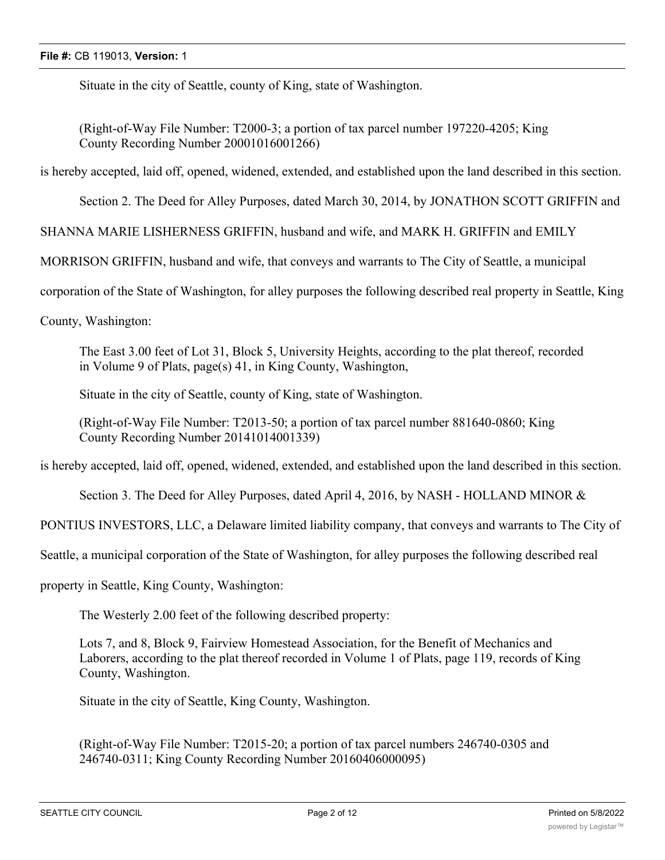Situate in the city of Seattle, county of King, state of Washington.

(Right-of-Way File Number: T2000-3; a portion of tax parcel number 197220-4205; King County Recording Number 20001016001266)

is hereby accepted, laid off, opened, widened, extended, and established upon the land described in this section.

Section 2. The Deed for Alley Purposes, dated March 30, 2014, by JONATHON SCOTT GRIFFIN and

SHANNA MARIE LISHERNESS GRIFFIN, husband and wife, and MARK H. GRIFFIN and EMILY

MORRISON GRIFFIN, husband and wife, that conveys and warrants to The City of Seattle, a municipal

corporation of the State of Washington, for alley purposes the following described real property in Seattle, King

County, Washington:

The East 3.00 feet of Lot 31, Block 5, University Heights, according to the plat thereof, recorded in Volume 9 of Plats, page(s) 41, in King County, Washington,

Situate in the city of Seattle, county of King, state of Washington.

(Right-of-Way File Number: T2013-50; a portion of tax parcel number 881640-0860; King County Recording Number 20141014001339)

is hereby accepted, laid off, opened, widened, extended, and established upon the land described in this section.

Section 3. The Deed for Alley Purposes, dated April 4, 2016, by NASH - HOLLAND MINOR &

PONTIUS INVESTORS, LLC, a Delaware limited liability company, that conveys and warrants to The City of

Seattle, a municipal corporation of the State of Washington, for alley purposes the following described real

property in Seattle, King County, Washington:

The Westerly 2.00 feet of the following described property:

Lots 7, and 8, Block 9, Fairview Homestead Association, for the Benefit of Mechanics and Laborers, according to the plat thereof recorded in Volume 1 of Plats, page 119, records of King County, Washington.

Situate in the city of Seattle, King County, Washington.

(Right-of-Way File Number: T2015-20; a portion of tax parcel numbers 246740-0305 and 246740-0311; King County Recording Number 20160406000095)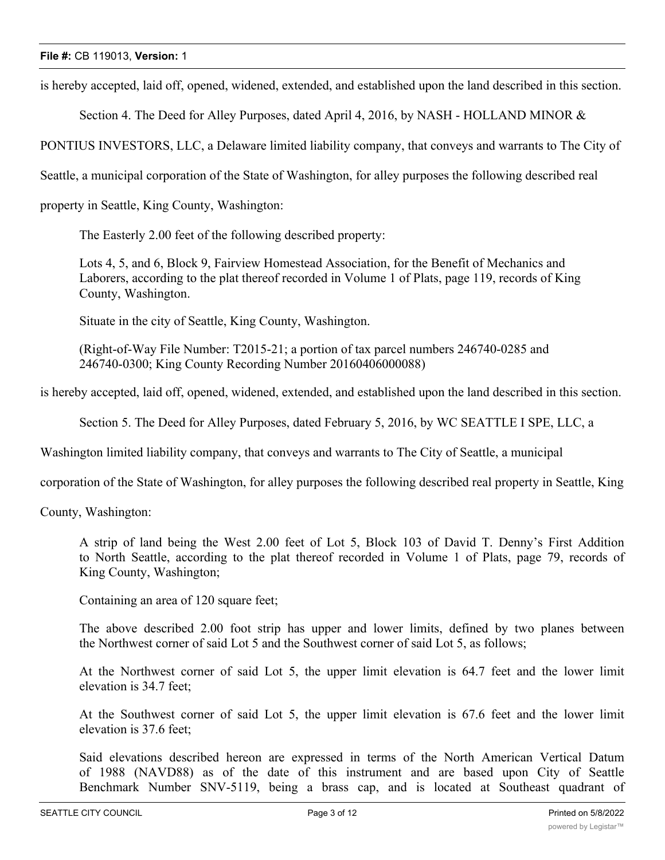is hereby accepted, laid off, opened, widened, extended, and established upon the land described in this section.

Section 4. The Deed for Alley Purposes, dated April 4, 2016, by NASH - HOLLAND MINOR &

PONTIUS INVESTORS, LLC, a Delaware limited liability company, that conveys and warrants to The City of

Seattle, a municipal corporation of the State of Washington, for alley purposes the following described real

property in Seattle, King County, Washington:

The Easterly 2.00 feet of the following described property:

Lots 4, 5, and 6, Block 9, Fairview Homestead Association, for the Benefit of Mechanics and Laborers, according to the plat thereof recorded in Volume 1 of Plats, page 119, records of King County, Washington.

Situate in the city of Seattle, King County, Washington.

(Right-of-Way File Number: T2015-21; a portion of tax parcel numbers 246740-0285 and 246740-0300; King County Recording Number 20160406000088)

is hereby accepted, laid off, opened, widened, extended, and established upon the land described in this section.

Section 5. The Deed for Alley Purposes, dated February 5, 2016, by WC SEATTLE I SPE, LLC, a

Washington limited liability company, that conveys and warrants to The City of Seattle, a municipal

corporation of the State of Washington, for alley purposes the following described real property in Seattle, King

County, Washington:

A strip of land being the West 2.00 feet of Lot 5, Block 103 of David T. Denny's First Addition to North Seattle, according to the plat thereof recorded in Volume 1 of Plats, page 79, records of King County, Washington;

Containing an area of 120 square feet;

The above described 2.00 foot strip has upper and lower limits, defined by two planes between the Northwest corner of said Lot 5 and the Southwest corner of said Lot 5, as follows;

At the Northwest corner of said Lot 5, the upper limit elevation is 64.7 feet and the lower limit elevation is 34.7 feet;

At the Southwest corner of said Lot 5, the upper limit elevation is 67.6 feet and the lower limit elevation is 37.6 feet;

Said elevations described hereon are expressed in terms of the North American Vertical Datum of 1988 (NAVD88) as of the date of this instrument and are based upon City of Seattle Benchmark Number SNV-5119, being a brass cap, and is located at Southeast quadrant of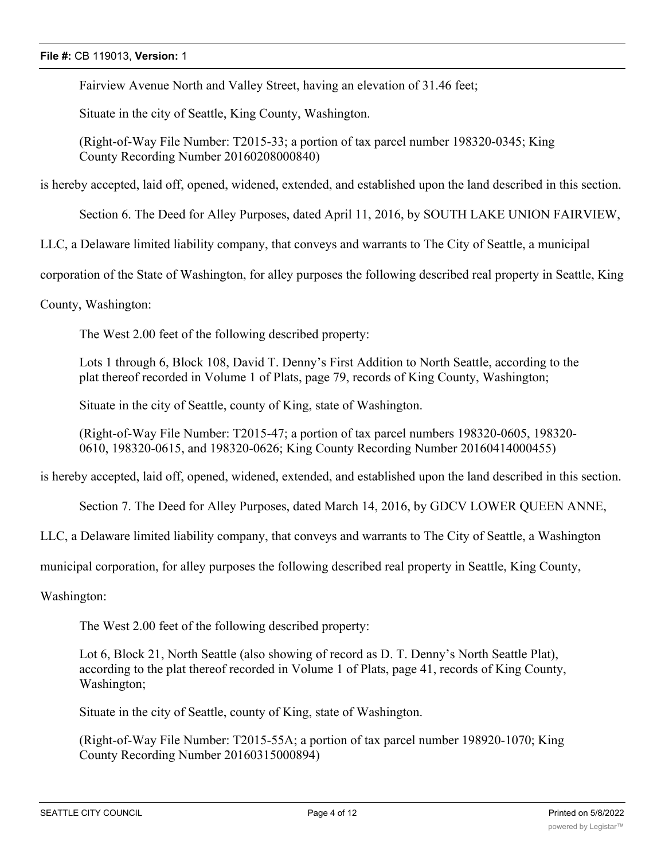Fairview Avenue North and Valley Street, having an elevation of 31.46 feet;

Situate in the city of Seattle, King County, Washington.

(Right-of-Way File Number: T2015-33; a portion of tax parcel number 198320-0345; King County Recording Number 20160208000840)

is hereby accepted, laid off, opened, widened, extended, and established upon the land described in this section.

Section 6. The Deed for Alley Purposes, dated April 11, 2016, by SOUTH LAKE UNION FAIRVIEW,

LLC, a Delaware limited liability company, that conveys and warrants to The City of Seattle, a municipal

corporation of the State of Washington, for alley purposes the following described real property in Seattle, King

County, Washington:

The West 2.00 feet of the following described property:

Lots 1 through 6, Block 108, David T. Denny's First Addition to North Seattle, according to the plat thereof recorded in Volume 1 of Plats, page 79, records of King County, Washington;

Situate in the city of Seattle, county of King, state of Washington.

(Right-of-Way File Number: T2015-47; a portion of tax parcel numbers 198320-0605, 198320- 0610, 198320-0615, and 198320-0626; King County Recording Number 20160414000455)

is hereby accepted, laid off, opened, widened, extended, and established upon the land described in this section.

Section 7. The Deed for Alley Purposes, dated March 14, 2016, by GDCV LOWER QUEEN ANNE,

LLC, a Delaware limited liability company, that conveys and warrants to The City of Seattle, a Washington

municipal corporation, for alley purposes the following described real property in Seattle, King County,

Washington:

The West 2.00 feet of the following described property:

Lot 6, Block 21, North Seattle (also showing of record as D. T. Denny's North Seattle Plat), according to the plat thereof recorded in Volume 1 of Plats, page 41, records of King County, Washington;

Situate in the city of Seattle, county of King, state of Washington.

(Right-of-Way File Number: T2015-55A; a portion of tax parcel number 198920-1070; King County Recording Number 20160315000894)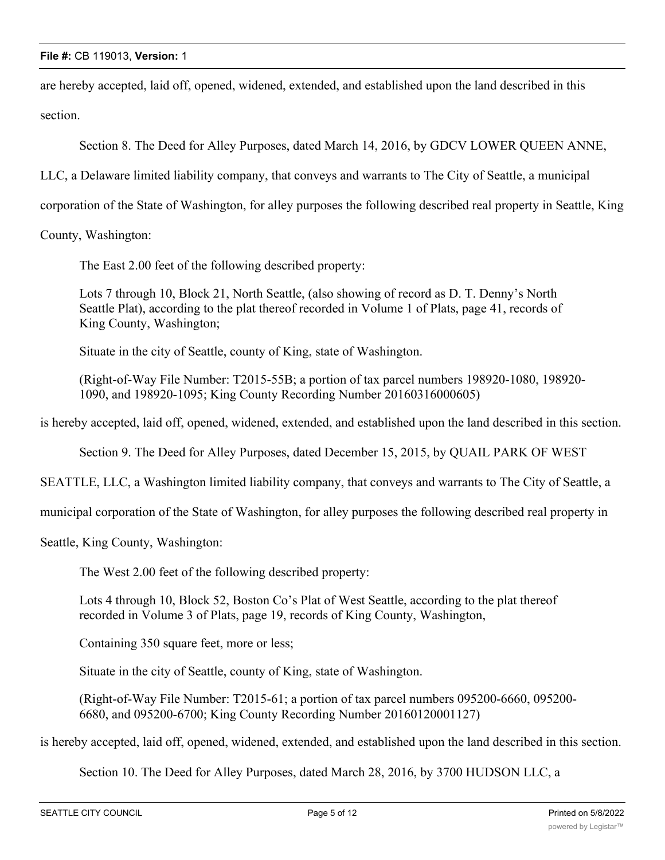### **File #:** CB 119013, **Version:** 1

are hereby accepted, laid off, opened, widened, extended, and established upon the land described in this section.

Section 8. The Deed for Alley Purposes, dated March 14, 2016, by GDCV LOWER QUEEN ANNE,

LLC, a Delaware limited liability company, that conveys and warrants to The City of Seattle, a municipal

corporation of the State of Washington, for alley purposes the following described real property in Seattle, King

County, Washington:

The East 2.00 feet of the following described property:

Lots 7 through 10, Block 21, North Seattle, (also showing of record as D. T. Denny's North Seattle Plat), according to the plat thereof recorded in Volume 1 of Plats, page 41, records of King County, Washington;

Situate in the city of Seattle, county of King, state of Washington.

(Right-of-Way File Number: T2015-55B; a portion of tax parcel numbers 198920-1080, 198920- 1090, and 198920-1095; King County Recording Number 20160316000605)

is hereby accepted, laid off, opened, widened, extended, and established upon the land described in this section.

Section 9. The Deed for Alley Purposes, dated December 15, 2015, by QUAIL PARK OF WEST

SEATTLE, LLC, a Washington limited liability company, that conveys and warrants to The City of Seattle, a

municipal corporation of the State of Washington, for alley purposes the following described real property in

Seattle, King County, Washington:

The West 2.00 feet of the following described property:

Lots 4 through 10, Block 52, Boston Co's Plat of West Seattle, according to the plat thereof recorded in Volume 3 of Plats, page 19, records of King County, Washington,

Containing 350 square feet, more or less;

Situate in the city of Seattle, county of King, state of Washington.

(Right-of-Way File Number: T2015-61; a portion of tax parcel numbers 095200-6660, 095200- 6680, and 095200-6700; King County Recording Number 20160120001127)

is hereby accepted, laid off, opened, widened, extended, and established upon the land described in this section.

Section 10. The Deed for Alley Purposes, dated March 28, 2016, by 3700 HUDSON LLC, a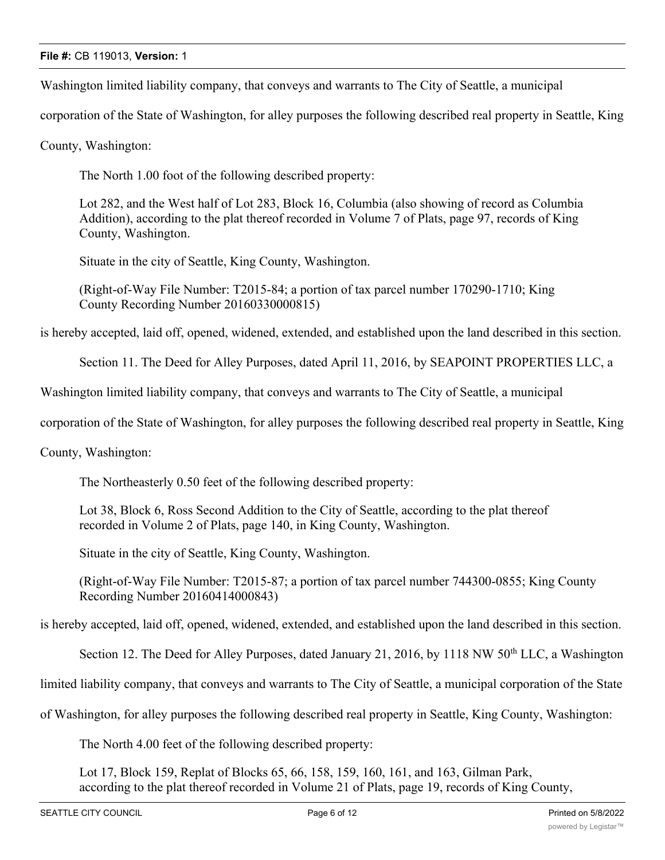Washington limited liability company, that conveys and warrants to The City of Seattle, a municipal

corporation of the State of Washington, for alley purposes the following described real property in Seattle, King

County, Washington:

The North 1.00 foot of the following described property:

Lot 282, and the West half of Lot 283, Block 16, Columbia (also showing of record as Columbia Addition), according to the plat thereof recorded in Volume 7 of Plats, page 97, records of King County, Washington.

Situate in the city of Seattle, King County, Washington.

(Right-of-Way File Number: T2015-84; a portion of tax parcel number 170290-1710; King County Recording Number 20160330000815)

is hereby accepted, laid off, opened, widened, extended, and established upon the land described in this section.

Section 11. The Deed for Alley Purposes, dated April 11, 2016, by SEAPOINT PROPERTIES LLC, a

Washington limited liability company, that conveys and warrants to The City of Seattle, a municipal

corporation of the State of Washington, for alley purposes the following described real property in Seattle, King

County, Washington:

The Northeasterly 0.50 feet of the following described property:

Lot 38, Block 6, Ross Second Addition to the City of Seattle, according to the plat thereof recorded in Volume 2 of Plats, page 140, in King County, Washington.

Situate in the city of Seattle, King County, Washington.

(Right-of-Way File Number: T2015-87; a portion of tax parcel number 744300-0855; King County Recording Number 20160414000843)

is hereby accepted, laid off, opened, widened, extended, and established upon the land described in this section.

Section 12. The Deed for Alley Purposes, dated January 21, 2016, by 1118 NW 50<sup>th</sup> LLC, a Washington

limited liability company, that conveys and warrants to The City of Seattle, a municipal corporation of the State

of Washington, for alley purposes the following described real property in Seattle, King County, Washington:

The North 4.00 feet of the following described property:

Lot 17, Block 159, Replat of Blocks 65, 66, 158, 159, 160, 161, and 163, Gilman Park, according to the plat thereof recorded in Volume 21 of Plats, page 19, records of King County,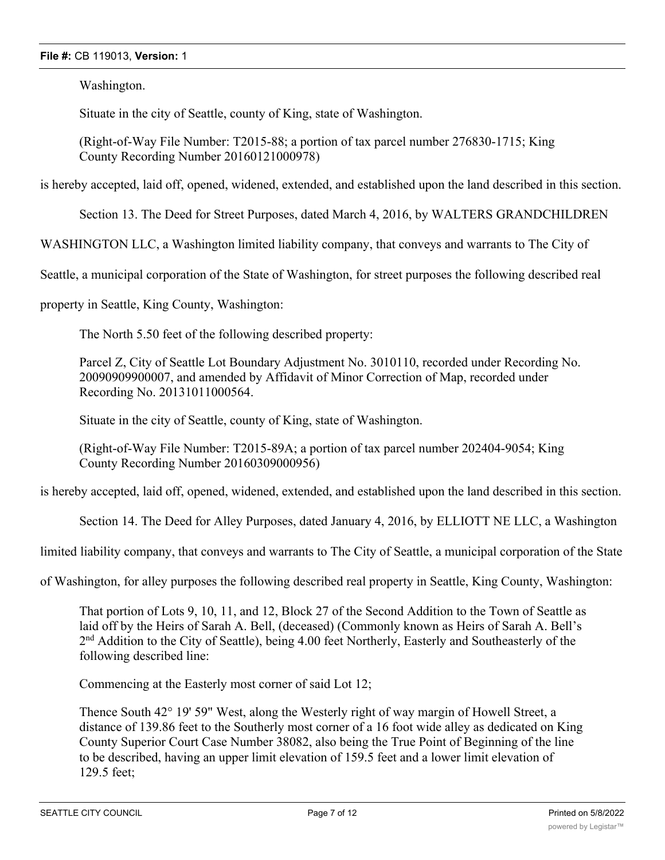### **File #:** CB 119013, **Version:** 1

Washington.

Situate in the city of Seattle, county of King, state of Washington.

(Right-of-Way File Number: T2015-88; a portion of tax parcel number 276830-1715; King County Recording Number 20160121000978)

is hereby accepted, laid off, opened, widened, extended, and established upon the land described in this section.

Section 13. The Deed for Street Purposes, dated March 4, 2016, by WALTERS GRANDCHILDREN

WASHINGTON LLC, a Washington limited liability company, that conveys and warrants to The City of

Seattle, a municipal corporation of the State of Washington, for street purposes the following described real

property in Seattle, King County, Washington:

The North 5.50 feet of the following described property:

Parcel Z, City of Seattle Lot Boundary Adjustment No. 3010110, recorded under Recording No. 20090909900007, and amended by Affidavit of Minor Correction of Map, recorded under Recording No. 20131011000564.

Situate in the city of Seattle, county of King, state of Washington.

(Right-of-Way File Number: T2015-89A; a portion of tax parcel number 202404-9054; King County Recording Number 20160309000956)

is hereby accepted, laid off, opened, widened, extended, and established upon the land described in this section.

Section 14. The Deed for Alley Purposes, dated January 4, 2016, by ELLIOTT NE LLC, a Washington

limited liability company, that conveys and warrants to The City of Seattle, a municipal corporation of the State

of Washington, for alley purposes the following described real property in Seattle, King County, Washington:

That portion of Lots 9, 10, 11, and 12, Block 27 of the Second Addition to the Town of Seattle as laid off by the Heirs of Sarah A. Bell, (deceased) (Commonly known as Heirs of Sarah A. Bell's 2<sup>nd</sup> Addition to the City of Seattle), being 4.00 feet Northerly, Easterly and Southeasterly of the following described line:

Commencing at the Easterly most corner of said Lot 12;

Thence South 42° 19' 59" West, along the Westerly right of way margin of Howell Street, a distance of 139.86 feet to the Southerly most corner of a 16 foot wide alley as dedicated on King County Superior Court Case Number 38082, also being the True Point of Beginning of the line to be described, having an upper limit elevation of 159.5 feet and a lower limit elevation of 129.5 feet;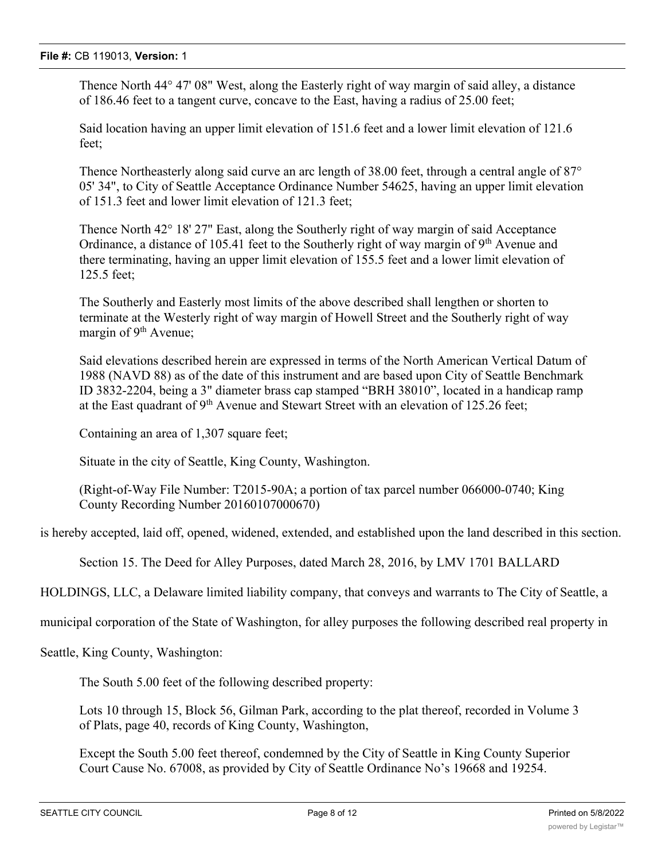Thence North 44° 47' 08" West, along the Easterly right of way margin of said alley, a distance of 186.46 feet to a tangent curve, concave to the East, having a radius of 25.00 feet;

Said location having an upper limit elevation of 151.6 feet and a lower limit elevation of 121.6 feet;

Thence Northeasterly along said curve an arc length of 38.00 feet, through a central angle of 87<sup>°</sup> 05' 34", to City of Seattle Acceptance Ordinance Number 54625, having an upper limit elevation of 151.3 feet and lower limit elevation of 121.3 feet;

Thence North 42° 18' 27" East, along the Southerly right of way margin of said Acceptance Ordinance, a distance of 105.41 feet to the Southerly right of way margin of  $9<sup>th</sup>$  Avenue and there terminating, having an upper limit elevation of 155.5 feet and a lower limit elevation of 125.5 feet;

The Southerly and Easterly most limits of the above described shall lengthen or shorten to terminate at the Westerly right of way margin of Howell Street and the Southerly right of way margin of 9<sup>th</sup> Avenue;

Said elevations described herein are expressed in terms of the North American Vertical Datum of 1988 (NAVD 88) as of the date of this instrument and are based upon City of Seattle Benchmark ID 3832-2204, being a 3" diameter brass cap stamped "BRH 38010", located in a handicap ramp at the East quadrant of  $9<sup>th</sup>$  Avenue and Stewart Street with an elevation of 125.26 feet;

Containing an area of 1,307 square feet;

Situate in the city of Seattle, King County, Washington.

(Right-of-Way File Number: T2015-90A; a portion of tax parcel number 066000-0740; King County Recording Number 20160107000670)

is hereby accepted, laid off, opened, widened, extended, and established upon the land described in this section.

Section 15. The Deed for Alley Purposes, dated March 28, 2016, by LMV 1701 BALLARD

HOLDINGS, LLC, a Delaware limited liability company, that conveys and warrants to The City of Seattle, a

municipal corporation of the State of Washington, for alley purposes the following described real property in

Seattle, King County, Washington:

The South 5.00 feet of the following described property:

Lots 10 through 15, Block 56, Gilman Park, according to the plat thereof, recorded in Volume 3 of Plats, page 40, records of King County, Washington,

Except the South 5.00 feet thereof, condemned by the City of Seattle in King County Superior Court Cause No. 67008, as provided by City of Seattle Ordinance No's 19668 and 19254.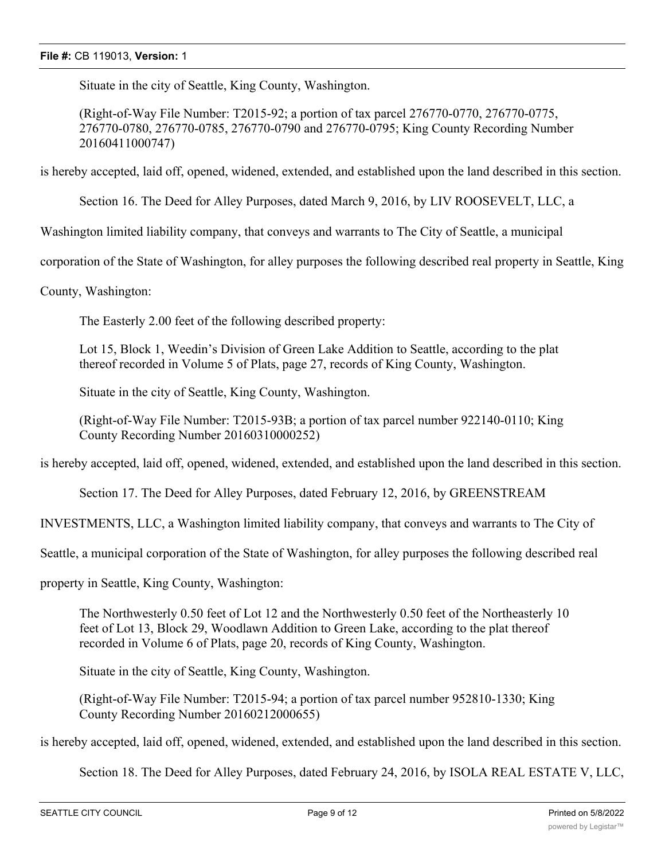Situate in the city of Seattle, King County, Washington.

(Right-of-Way File Number: T2015-92; a portion of tax parcel 276770-0770, 276770-0775, 276770-0780, 276770-0785, 276770-0790 and 276770-0795; King County Recording Number 20160411000747)

is hereby accepted, laid off, opened, widened, extended, and established upon the land described in this section.

Section 16. The Deed for Alley Purposes, dated March 9, 2016, by LIV ROOSEVELT, LLC, a

Washington limited liability company, that conveys and warrants to The City of Seattle, a municipal

corporation of the State of Washington, for alley purposes the following described real property in Seattle, King

County, Washington:

The Easterly 2.00 feet of the following described property:

Lot 15, Block 1, Weedin's Division of Green Lake Addition to Seattle, according to the plat thereof recorded in Volume 5 of Plats, page 27, records of King County, Washington.

Situate in the city of Seattle, King County, Washington.

(Right-of-Way File Number: T2015-93B; a portion of tax parcel number 922140-0110; King County Recording Number 20160310000252)

is hereby accepted, laid off, opened, widened, extended, and established upon the land described in this section.

Section 17. The Deed for Alley Purposes, dated February 12, 2016, by GREENSTREAM

INVESTMENTS, LLC, a Washington limited liability company, that conveys and warrants to The City of

Seattle, a municipal corporation of the State of Washington, for alley purposes the following described real

property in Seattle, King County, Washington:

The Northwesterly 0.50 feet of Lot 12 and the Northwesterly 0.50 feet of the Northeasterly 10 feet of Lot 13, Block 29, Woodlawn Addition to Green Lake, according to the plat thereof recorded in Volume 6 of Plats, page 20, records of King County, Washington.

Situate in the city of Seattle, King County, Washington.

(Right-of-Way File Number: T2015-94; a portion of tax parcel number 952810-1330; King County Recording Number 20160212000655)

is hereby accepted, laid off, opened, widened, extended, and established upon the land described in this section.

Section 18. The Deed for Alley Purposes, dated February 24, 2016, by ISOLA REAL ESTATE V, LLC,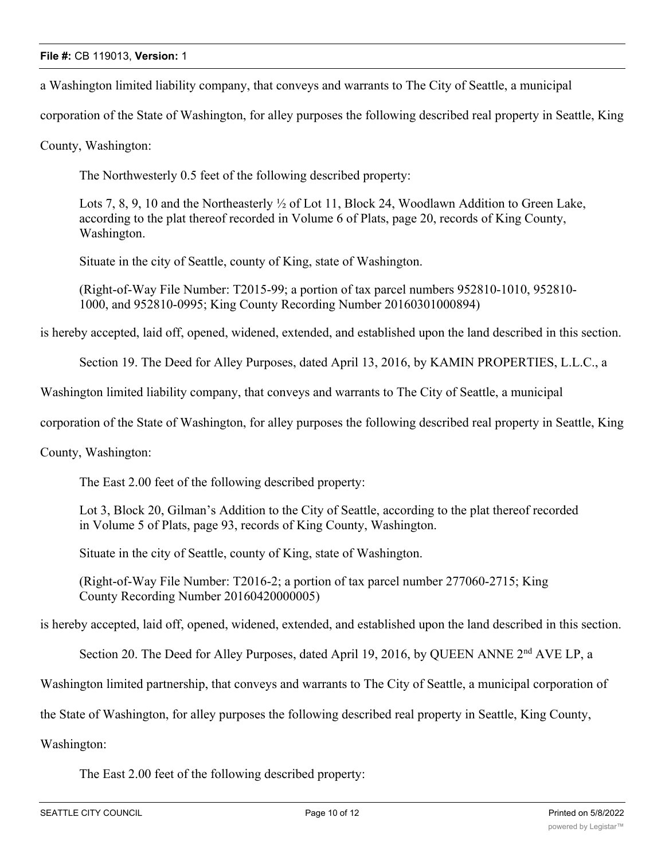a Washington limited liability company, that conveys and warrants to The City of Seattle, a municipal

corporation of the State of Washington, for alley purposes the following described real property in Seattle, King

County, Washington:

The Northwesterly 0.5 feet of the following described property:

Lots 7, 8, 9, 10 and the Northeasterly  $\frac{1}{2}$  of Lot 11, Block 24, Woodlawn Addition to Green Lake, according to the plat thereof recorded in Volume 6 of Plats, page 20, records of King County, Washington.

Situate in the city of Seattle, county of King, state of Washington.

(Right-of-Way File Number: T2015-99; a portion of tax parcel numbers 952810-1010, 952810- 1000, and 952810-0995; King County Recording Number 20160301000894)

is hereby accepted, laid off, opened, widened, extended, and established upon the land described in this section.

Section 19. The Deed for Alley Purposes, dated April 13, 2016, by KAMIN PROPERTIES, L.L.C., a

Washington limited liability company, that conveys and warrants to The City of Seattle, a municipal

corporation of the State of Washington, for alley purposes the following described real property in Seattle, King

County, Washington:

The East 2.00 feet of the following described property:

Lot 3, Block 20, Gilman's Addition to the City of Seattle, according to the plat thereof recorded in Volume 5 of Plats, page 93, records of King County, Washington.

Situate in the city of Seattle, county of King, state of Washington.

(Right-of-Way File Number: T2016-2; a portion of tax parcel number 277060-2715; King County Recording Number 20160420000005)

is hereby accepted, laid off, opened, widened, extended, and established upon the land described in this section.

Section 20. The Deed for Alley Purposes, dated April 19, 2016, by QUEEN ANNE 2<sup>nd</sup> AVE LP, a

Washington limited partnership, that conveys and warrants to The City of Seattle, a municipal corporation of

the State of Washington, for alley purposes the following described real property in Seattle, King County,

Washington:

The East 2.00 feet of the following described property: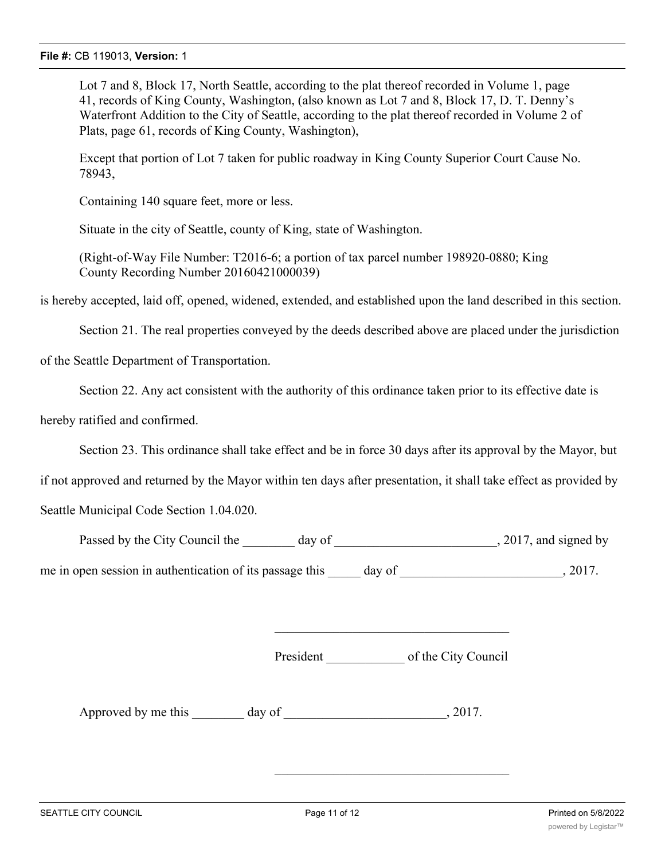Lot 7 and 8, Block 17, North Seattle, according to the plat thereof recorded in Volume 1, page 41, records of King County, Washington, (also known as Lot 7 and 8, Block 17, D. T. Denny's Waterfront Addition to the City of Seattle, according to the plat thereof recorded in Volume 2 of Plats, page 61, records of King County, Washington),

Except that portion of Lot 7 taken for public roadway in King County Superior Court Cause No. 78943,

Containing 140 square feet, more or less.

Situate in the city of Seattle, county of King, state of Washington.

(Right-of-Way File Number: T2016-6; a portion of tax parcel number 198920-0880; King County Recording Number 20160421000039)

is hereby accepted, laid off, opened, widened, extended, and established upon the land described in this section.

Section 21. The real properties conveyed by the deeds described above are placed under the jurisdiction

of the Seattle Department of Transportation.

Section 22. Any act consistent with the authority of this ordinance taken prior to its effective date is

hereby ratified and confirmed.

Section 23. This ordinance shall take effect and be in force 30 days after its approval by the Mayor, but

if not approved and returned by the Mayor within ten days after presentation, it shall take effect as provided by

Seattle Municipal Code Section 1.04.020.

| Passed by the City Council the<br>day of                 | , 2017, and signed by |  |
|----------------------------------------------------------|-----------------------|--|
| me in open session in authentication of its passage this | 2017.<br>day of       |  |

President \_\_\_\_\_\_\_\_\_\_\_\_ of the City Council

Approved by me this day of the case of the case of the case of  $\alpha$ , 2017.